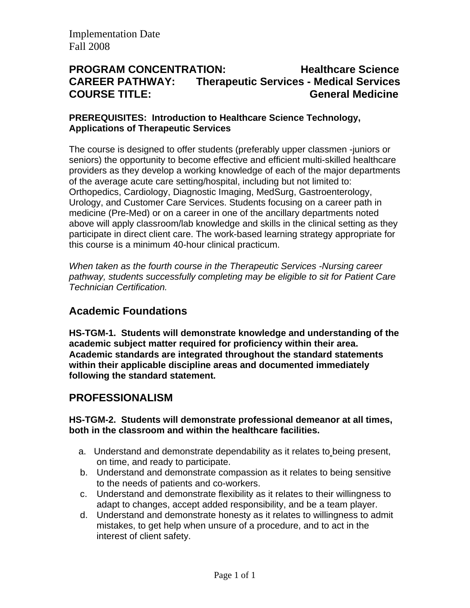## **PROGRAM CONCENTRATION: Healthcare Science CAREER PATHWAY: Therapeutic Services - Medical Services COURSE TITLE: General Medicine**

#### **PREREQUISITES: Introduction to Healthcare Science Technology, Applications of Therapeutic Services**

The course is designed to offer students (preferably upper classmen -juniors or seniors) the opportunity to become effective and efficient multi-skilled healthcare providers as they develop a working knowledge of each of the major departments of the average acute care setting/hospital, including but not limited to: Orthopedics, Cardiology, Diagnostic Imaging, MedSurg, Gastroenterology, Urology, and Customer Care Services. Students focusing on a career path in medicine (Pre-Med) or on a career in one of the ancillary departments noted above will apply classroom/lab knowledge and skills in the clinical setting as they participate in direct client care. The work-based learning strategy appropriate for this course is a minimum 40-hour clinical practicum.

*When taken as the fourth course in the Therapeutic Services -Nursing career pathway, students successfully completing may be eligible to sit for Patient Care Technician Certification.* 

## **Academic Foundations**

**HS-TGM-1. Students will demonstrate knowledge and understanding of the academic subject matter required for proficiency within their area. Academic standards are integrated throughout the standard statements within their applicable discipline areas and documented immediately following the standard statement.** 

## **PROFESSIONALISM**

#### **HS-TGM-2. Students will demonstrate professional demeanor at all times, both in the classroom and within the healthcare facilities.**

- a. Understand and demonstrate dependability as it relates to being present, on time, and ready to participate.
- b. Understand and demonstrate compassion as it relates to being sensitive to the needs of patients and co-workers.
- c. Understand and demonstrate flexibility as it relates to their willingness to adapt to changes, accept added responsibility, and be a team player.
- d. Understand and demonstrate honesty as it relates to willingness to admit mistakes, to get help when unsure of a procedure, and to act in the interest of client safety.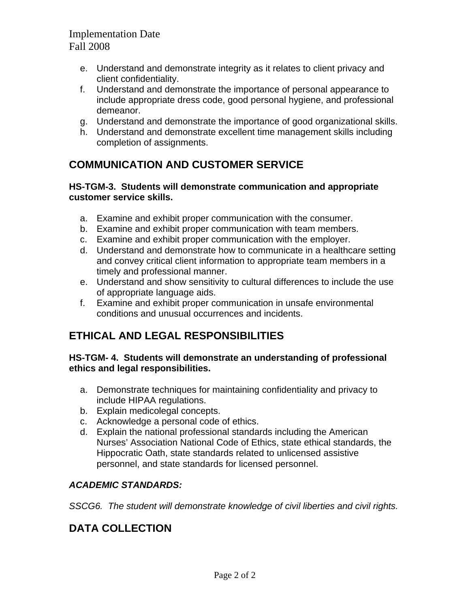- e. Understand and demonstrate integrity as it relates to client privacy and client confidentiality.
- f. Understand and demonstrate the importance of personal appearance to include appropriate dress code, good personal hygiene, and professional demeanor.
- g. Understand and demonstrate the importance of good organizational skills.
- h. Understand and demonstrate excellent time management skills including completion of assignments.

# **COMMUNICATION AND CUSTOMER SERVICE**

#### **HS-TGM-3. Students will demonstrate communication and appropriate customer service skills.**

- a. Examine and exhibit proper communication with the consumer.
- b. Examine and exhibit proper communication with team members.
- c. Examine and exhibit proper communication with the employer.
- d. Understand and demonstrate how to communicate in a healthcare setting and convey critical client information to appropriate team members in a timely and professional manner.
- e. Understand and show sensitivity to cultural differences to include the use of appropriate language aids.
- f. Examine and exhibit proper communication in unsafe environmental conditions and unusual occurrences and incidents.

# **ETHICAL AND LEGAL RESPONSIBILITIES**

#### **HS-TGM- 4. Students will demonstrate an understanding of professional ethics and legal responsibilities.**

- a. Demonstrate techniques for maintaining confidentiality and privacy to include HIPAA regulations.
- b. Explain medicolegal concepts.
- c. Acknowledge a personal code of ethics.
- d. Explain the national professional standards including the American Nurses' Association National Code of Ethics, state ethical standards, the Hippocratic Oath, state standards related to unlicensed assistive personnel, and state standards for licensed personnel.

## *ACADEMIC STANDARDS:*

*SSCG6. The student will demonstrate knowledge of civil liberties and civil rights.* 

# **DATA COLLECTION**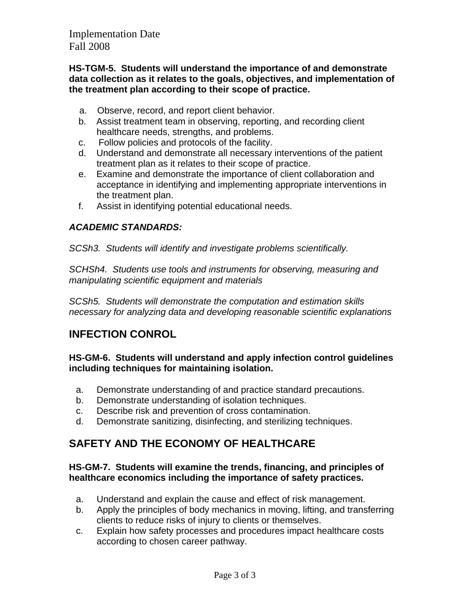#### **HS-TGM-5. Students will understand the importance of and demonstrate data collection as it relates to the goals, objectives, and implementation of the treatment plan according to their scope of practice.**

- a. Observe, record, and report client behavior.
- b. Assist treatment team in observing, reporting, and recording client healthcare needs, strengths, and problems.
- c. Follow policies and protocols of the facility.
- d. Understand and demonstrate all necessary interventions of the patient treatment plan as it relates to their scope of practice.
- e. Examine and demonstrate the importance of client collaboration and acceptance in identifying and implementing appropriate interventions in the treatment plan.
- f. Assist in identifying potential educational needs.

### *ACADEMIC STANDARDS:*

*SCSh3. Students will identify and investigate problems scientifically.* 

*SCHSh4. Students use tools and instruments for observing, measuring and manipulating scientific equipment and materials* 

*SCSh5. Students will demonstrate the computation and estimation skills necessary for analyzing data and developing reasonable scientific explanations* 

# **INFECTION CONROL**

**HS-GM-6. Students will understand and apply infection control guidelines including techniques for maintaining isolation.** 

- a. Demonstrate understanding of and practice standard precautions.
- b. Demonstrate understanding of isolation techniques.
- c. Describe risk and prevention of cross contamination.
- d. Demonstrate sanitizing, disinfecting, and sterilizing techniques.

# **SAFETY AND THE ECONOMY OF HEALTHCARE**

#### **HS-GM-7. Students will examine the trends, financing, and principles of healthcare economics including the importance of safety practices.**

- a. Understand and explain the cause and effect of risk management.
- b. Apply the principles of body mechanics in moving, lifting, and transferring clients to reduce risks of injury to clients or themselves.
- c. Explain how safety processes and procedures impact healthcare costs according to chosen career pathway.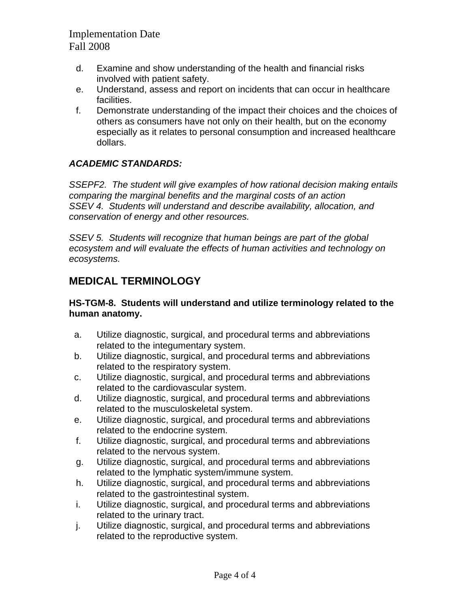- d. Examine and show understanding of the health and financial risks involved with patient safety.
- e. Understand, assess and report on incidents that can occur in healthcare facilities.
- f. Demonstrate understanding of the impact their choices and the choices of others as consumers have not only on their health, but on the economy especially as it relates to personal consumption and increased healthcare dollars.

### *ACADEMIC STANDARDS:*

*SSEPF2. The student will give examples of how rational decision making entails comparing the marginal benefits and the marginal costs of an action SSEV 4. Students will understand and describe availability, allocation, and conservation of energy and other resources.* 

*SSEV 5. Students will recognize that human beings are part of the global ecosystem and will evaluate the effects of human activities and technology on ecosystems.* 

# **MEDICAL TERMINOLOGY**

#### **HS-TGM-8. Students will understand and utilize terminology related to the human anatomy.**

- a. Utilize diagnostic, surgical, and procedural terms and abbreviations related to the integumentary system.
- b. Utilize diagnostic, surgical, and procedural terms and abbreviations related to the respiratory system.
- c. Utilize diagnostic, surgical, and procedural terms and abbreviations related to the cardiovascular system.
- d. Utilize diagnostic, surgical, and procedural terms and abbreviations related to the musculoskeletal system.
- e. Utilize diagnostic, surgical, and procedural terms and abbreviations related to the endocrine system.
- f. Utilize diagnostic, surgical, and procedural terms and abbreviations related to the nervous system.
- g. Utilize diagnostic, surgical, and procedural terms and abbreviations related to the lymphatic system/immune system.
- h. Utilize diagnostic, surgical, and procedural terms and abbreviations related to the gastrointestinal system.
- i. Utilize diagnostic, surgical, and procedural terms and abbreviations related to the urinary tract.
- j. Utilize diagnostic, surgical, and procedural terms and abbreviations related to the reproductive system.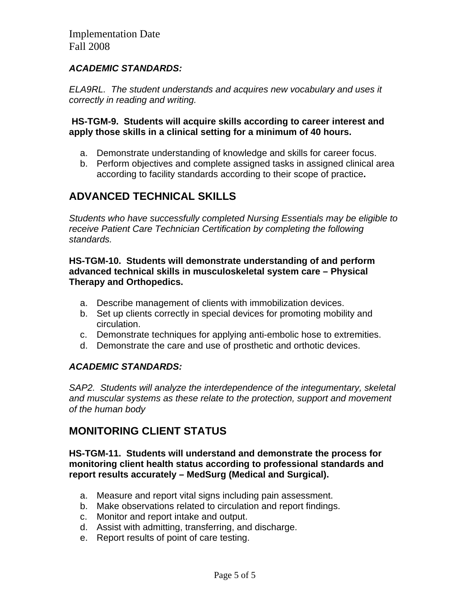### *ACADEMIC STANDARDS:*

*ELA9RL. The student understands and acquires new vocabulary and uses it correctly in reading and writing.* 

#### **HS-TGM-9. Students will acquire skills according to career interest and apply those skills in a clinical setting for a minimum of 40 hours.**

- a. Demonstrate understanding of knowledge and skills for career focus.
- b. Perform objectives and complete assigned tasks in assigned clinical area according to facility standards according to their scope of practice**.**

## **ADVANCED TECHNICAL SKILLS**

*Students who have successfully completed Nursing Essentials may be eligible to receive Patient Care Technician Certification by completing the following standards.* 

#### **HS-TGM-10. Students will demonstrate understanding of and perform advanced technical skills in musculoskeletal system care – Physical Therapy and Orthopedics.**

- a. Describe management of clients with immobilization devices.
- b. Set up clients correctly in special devices for promoting mobility and circulation.
- c. Demonstrate techniques for applying anti-embolic hose to extremities.
- d. Demonstrate the care and use of prosthetic and orthotic devices.

### *ACADEMIC STANDARDS:*

*SAP2. Students will analyze the interdependence of the integumentary, skeletal and muscular systems as these relate to the protection, support and movement of the human body* 

## **MONITORING CLIENT STATUS**

#### **HS-TGM-11. Students will understand and demonstrate the process for monitoring client health status according to professional standards and report results accurately – MedSurg (Medical and Surgical).**

- a. Measure and report vital signs including pain assessment.
- b. Make observations related to circulation and report findings.
- c. Monitor and report intake and output.
- d. Assist with admitting, transferring, and discharge.
- e. Report results of point of care testing.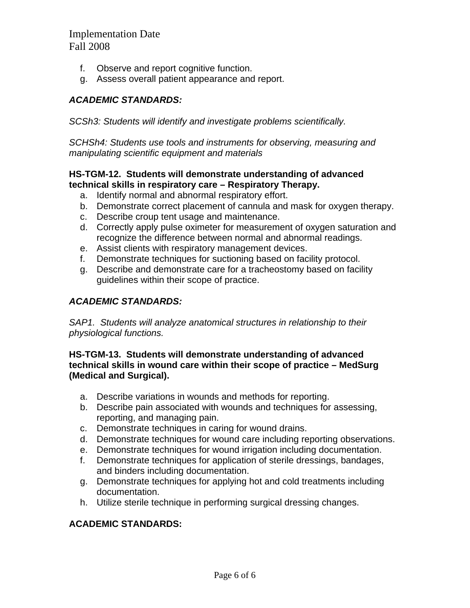- f. Observe and report cognitive function.
- g. Assess overall patient appearance and report.

#### *ACADEMIC STANDARDS:*

*SCSh3: Students will identify and investigate problems scientifically.* 

*SCHSh4: Students use tools and instruments for observing, measuring and manipulating scientific equipment and materials* 

#### **HS-TGM-12. Students will demonstrate understanding of advanced technical skills in respiratory care – Respiratory Therapy.**

- a. Identify normal and abnormal respiratory effort.
- b. Demonstrate correct placement of cannula and mask for oxygen therapy.
- c. Describe croup tent usage and maintenance.
- d. Correctly apply pulse oximeter for measurement of oxygen saturation and recognize the difference between normal and abnormal readings.
- e. Assist clients with respiratory management devices.
- f. Demonstrate techniques for suctioning based on facility protocol.
- g. Describe and demonstrate care for a tracheostomy based on facility guidelines within their scope of practice.

### *ACADEMIC STANDARDS:*

*SAP1. Students will analyze anatomical structures in relationship to their physiological functions.* 

#### **HS-TGM-13. Students will demonstrate understanding of advanced technical skills in wound care within their scope of practice – MedSurg (Medical and Surgical).**

- a. Describe variations in wounds and methods for reporting.
- b. Describe pain associated with wounds and techniques for assessing, reporting, and managing pain.
- c. Demonstrate techniques in caring for wound drains.
- d. Demonstrate techniques for wound care including reporting observations.
- e. Demonstrate techniques for wound irrigation including documentation.
- f. Demonstrate techniques for application of sterile dressings, bandages, and binders including documentation.
- g. Demonstrate techniques for applying hot and cold treatments including documentation.
- h. Utilize sterile technique in performing surgical dressing changes.

### **ACADEMIC STANDARDS:**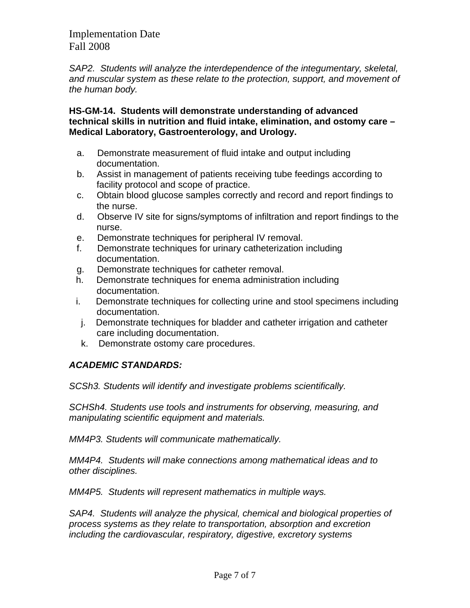*SAP2. Students will analyze the interdependence of the integumentary, skeletal, and muscular system as these relate to the protection, support, and movement of the human body.* 

**HS-GM-14. Students will demonstrate understanding of advanced technical skills in nutrition and fluid intake, elimination, and ostomy care – Medical Laboratory, Gastroenterology, and Urology.** 

- a. Demonstrate measurement of fluid intake and output including documentation.
- b. Assist in management of patients receiving tube feedings according to facility protocol and scope of practice.
- c. Obtain blood glucose samples correctly and record and report findings to the nurse.
- d. Observe IV site for signs/symptoms of infiltration and report findings to the nurse.
- e. Demonstrate techniques for peripheral IV removal.
- f. Demonstrate techniques for urinary catheterization including documentation.
- g. Demonstrate techniques for catheter removal.
- h. Demonstrate techniques for enema administration including documentation.
- i. Demonstrate techniques for collecting urine and stool specimens including documentation.
	- j. Demonstrate techniques for bladder and catheter irrigation and catheter care including documentation.
	- k. Demonstrate ostomy care procedures.

### *ACADEMIC STANDARDS:*

*SCSh3. Students will identify and investigate problems scientifically.* 

*SCHSh4. Students use tools and instruments for observing, measuring, and manipulating scientific equipment and materials.* 

*MM4P3. Students will communicate mathematically.* 

*MM4P4. Students will make connections among mathematical ideas and to other disciplines.* 

*MM4P5. Students will represent mathematics in multiple ways.* 

*SAP4. Students will analyze the physical, chemical and biological properties of process systems as they relate to transportation, absorption and excretion including the cardiovascular, respiratory, digestive, excretory systems*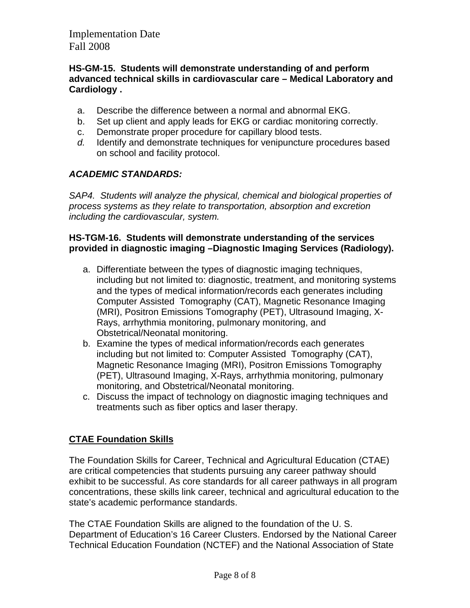#### **HS-GM-15. Students will demonstrate understanding of and perform advanced technical skills in cardiovascular care – Medical Laboratory and Cardiology .**

- a. Describe the difference between a normal and abnormal EKG.
- b. Set up client and apply leads for EKG or cardiac monitoring correctly.
- c. Demonstrate proper procedure for capillary blood tests.
- *d.* Identify and demonstrate techniques for venipuncture procedures based on school and facility protocol.

### *ACADEMIC STANDARDS:*

*SAP4. Students will analyze the physical, chemical and biological properties of process systems as they relate to transportation, absorption and excretion including the cardiovascular, system.* 

#### **HS-TGM-16. Students will demonstrate understanding of the services provided in diagnostic imaging –Diagnostic Imaging Services (Radiology).**

- a. Differentiate between the types of diagnostic imaging techniques, including but not limited to: diagnostic, treatment, and monitoring systems and the types of medical information/records each generates including Computer Assisted Tomography (CAT), Magnetic Resonance Imaging (MRI), Positron Emissions Tomography (PET), Ultrasound Imaging, X-Rays, arrhythmia monitoring, pulmonary monitoring, and Obstetrical/Neonatal monitoring.
- b. Examine the types of medical information/records each generates including but not limited to: Computer Assisted Tomography (CAT), Magnetic Resonance Imaging (MRI), Positron Emissions Tomography (PET), Ultrasound Imaging, X-Rays, arrhythmia monitoring, pulmonary monitoring, and Obstetrical/Neonatal monitoring.
- c. Discuss the impact of technology on diagnostic imaging techniques and treatments such as fiber optics and laser therapy.

## **CTAE Foundation Skills**

The Foundation Skills for Career, Technical and Agricultural Education (CTAE) are critical competencies that students pursuing any career pathway should exhibit to be successful. As core standards for all career pathways in all program concentrations, these skills link career, technical and agricultural education to the state's academic performance standards.

The CTAE Foundation Skills are aligned to the foundation of the U. S. Department of Education's 16 Career Clusters. Endorsed by the National Career Technical Education Foundation (NCTEF) and the National Association of State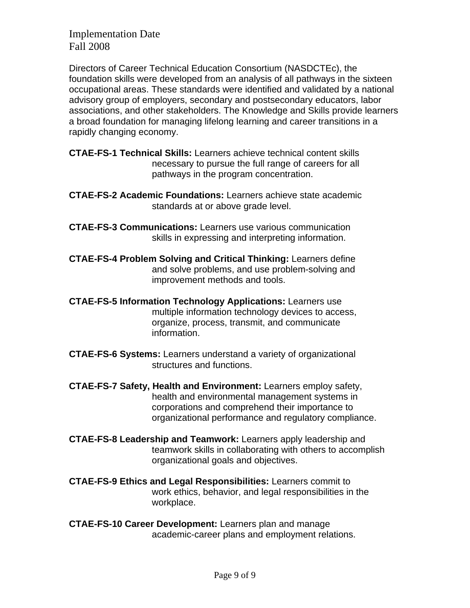Directors of Career Technical Education Consortium (NASDCTEc), the foundation skills were developed from an analysis of all pathways in the sixteen occupational areas. These standards were identified and validated by a national advisory group of employers, secondary and postsecondary educators, labor associations, and other stakeholders. The Knowledge and Skills provide learners a broad foundation for managing lifelong learning and career transitions in a rapidly changing economy.

- **CTAE-FS-1 Technical Skills:** Learners achieve technical content skills necessary to pursue the full range of careers for all pathways in the program concentration.
- **CTAE-FS-2 Academic Foundations:** Learners achieve state academic standards at or above grade level.
- **CTAE-FS-3 Communications:** Learners use various communication skills in expressing and interpreting information.
- **CTAE-FS-4 Problem Solving and Critical Thinking:** Learners define and solve problems, and use problem-solving and improvement methods and tools.
- **CTAE-FS-5 Information Technology Applications:** Learners use multiple information technology devices to access, organize, process, transmit, and communicate information.
- **CTAE-FS-6 Systems:** Learners understand a variety of organizational structures and functions.
- **CTAE-FS-7 Safety, Health and Environment:** Learners employ safety, health and environmental management systems in corporations and comprehend their importance to organizational performance and regulatory compliance.
- **CTAE-FS-8 Leadership and Teamwork:** Learners apply leadership and teamwork skills in collaborating with others to accomplish organizational goals and objectives.
- **CTAE-FS-9 Ethics and Legal Responsibilities:** Learners commit to work ethics, behavior, and legal responsibilities in the workplace.
- **CTAE-FS-10 Career Development:** Learners plan and manage academic-career plans and employment relations.